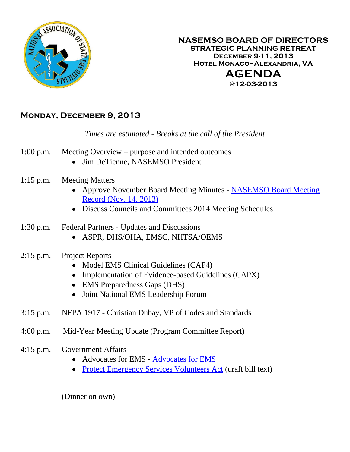

#### **NASEMSO BOARD OF DIRECTORS STRATEGIC PLANNING RETREAT December 9-11, 2013 Hotel Monaco~Alexandria, VA AGENDA @12-03-2013**

# **Monday, December 9, 2013**

## *Times are estimated - Breaks at the call of the President*

- 1:00 p.m. Meeting Overview purpose and intended outcomes
	- Jim DeTienne, NASEMSO President
- 1:15 p.m. Meeting Matters
	- Approve November Board Meeting Minutes NASEMSO Board Meeting [Record \(Nov. 14, 2013\)](https://www.nasemso.org/Members/Board/documents/NASEMSO-Board-Minutes14Nov2013.pdf)
	- Discuss Councils and Committees 2014 Meeting Schedules
- 1:30 p.m. Federal Partners Updates and Discussions
	- ASPR, DHS/OHA, EMSC, NHTSA/OEMS
- 2:15 p.m. Project Reports
	- Model EMS Clinical Guidelines (CAP4)
	- Implementation of Evidence-based Guidelines (CAPX)
	- EMS Preparedness Gaps (DHS)
	- Joint National EMS Leadership Forum
- 3:15 p.m. NFPA 1917 Christian Dubay, VP of Codes and Standards
- 4:00 p.m. Mid-Year Meeting Update (Program Committee Report)
- 4:15 p.m. Government Affairs
	- [Advocates for EMS](https://www.nasemso.org/Members/Board/documents/Advocates-for-EMS-Strategic-Plan-2014.pdf) Advocates for EMS
	- [Protect Emergency Services Volunteers Act](https://www.nasemso.org/Members/Board/documents/IAFC-PPACA-Draft.pdf) (draft bill text)

(Dinner on own)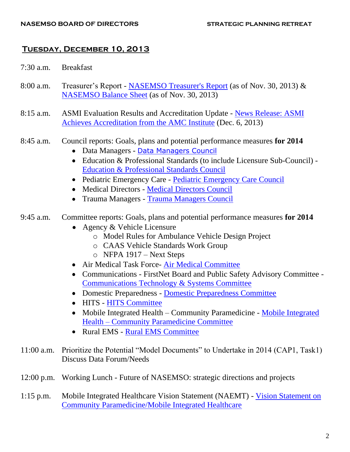#### **Tuesday, December 10, 2013**

- 7:30 a.m. Breakfast
- 8:00 a.m. Treasurer's Report [NASEMSO Treasurer's Report](https://www.nasemso.org/Members/Board/documents/NASEMSO-Treasurers-Report-30Nov2013.pdf) (as of Nov. 30, 2013) & [NASEMSO Balance Sheet](https://www.nasemso.org/Members/Board/documents/NASEMSO-Balance-Sheet-30Nov2013.pdf) (as of Nov. 30, 2013)
- 8:15 a.m. ASMI Evaluation Results and Accreditation Update [News Release: ASMI](https://www.nasemso.org/Members/Board/documents/Press-Release-ASMI-Achieves-Accreditation-06Dec2013.pdf)  [Achieves Accreditation from the AMC Institute](https://www.nasemso.org/Members/Board/documents/Press-Release-ASMI-Achieves-Accreditation-06Dec2013.pdf) (Dec. 6, 2013)
- 8:45 a.m. Council reports: Goals, plans and potential performance measures **for 2014**
	- Data Managers [Data Managers Council](https://www.nasemso.org/Councils/DataManagers/documents/Data-Managers-Workplan-2014.pdf)
	- Education & Professional Standards (to include Licensure Sub-Council) [Education & Professional Standards Council](https://www.nasemso.org/Members/Board/documents/EPS-Council-Workplan-2014.pdf)
	- Pediatric Emergency Care [Pediatric Emergency Care Council](https://www.nasemso.org/Councils/PEDS/documents/2014-PECC-Workplan.pdf)
	- Medical Directors [Medical Directors Council](https://www.nasemso.org/Members/Board/documents/MDC-Workplan-2014.pdf)
	- Trauma Managers [Trauma Managers Council](https://www.nasemso.org/Members/Board/documents/Trauma-Managers-Workplan-2014.pdf)

#### 9:45 a.m. Committee reports: Goals, plans and potential performance measures **for 2014**

- Agency & Vehicle Licensure
	- o Model Rules for Ambulance Vehicle Design Project
	- o CAAS Vehicle Standards Work Group
	- o NFPA 1917 Next Steps
- Air Medical Task Force- [Air Medical Committee](https://www.nasemso.org/Members/Board/documents/Air-Medical-Committee-Workplan-2014.pdf)
- Communications FirstNet Board and Public Safety Advisory Committee [Communications Technology & Systems Committee](https://www.nasemso.org/Projects/CommunicationsTechnology/documents/Communications-Committe-Work-Plan-2014.pdf)
- Domestic Preparedness [Domestic Preparedness Committee](https://www.nasemso.org/Projects/DomesticPreparedness/documents/2014-DP-Workplan.pdf)
- HITS [HITS Committee](https://www.nasemso.org/Members/Board/documents/HITS-Workplan-2014.pdf)
- [Mobile Integrated](https://www.nasemso.org/Members/Board/documents/MIH-CP-Workplan-2014.pdf) Health Community Paramedicine Mobile Integrated Health – [Community Paramedicine Committee](https://www.nasemso.org/Members/Board/documents/MIH-CP-Workplan-2014.pdf)
- Rural EMS [Rural EMS Committee](https://www.nasemso.org/Members/Board/documents/Rural-EMS-Workplan-2014.pdf)
- 11:00 a.m. Prioritize the Potential "Model Documents" to Undertake in 2014 (CAP1, Task1) Discuss Data Forum/Needs
- 12:00 p.m. Working Lunch Future of NASEMSO: strategic directions and projects
- 1:15 p.m. Mobile Integrated Healthcare Vision Statement (NAEMT) [Vision Statement on](https://www.nasemso.org/Members/Board/documents/MIHC-Vision-Statement-30Oct2013.pdf)  [Community Paramedicine/Mobile Integrated Healthcare](https://www.nasemso.org/Members/Board/documents/MIHC-Vision-Statement-30Oct2013.pdf)